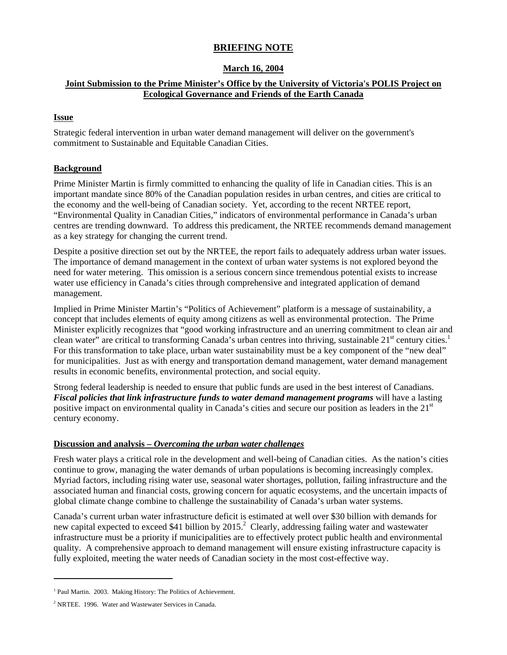# **BRIEFING NOTE**

### **March 16, 2004**

# **Joint Submission to the Prime Minister's Office by the University of Victoria's POLIS Project on Ecological Governance and Friends of the Earth Canada**

### **Issue**

Strategic federal intervention in urban water demand management will deliver on the government's commitment to Sustainable and Equitable Canadian Cities.

# **Background**

Prime Minister Martin is firmly committed to enhancing the quality of life in Canadian cities. This is an important mandate since 80% of the Canadian population resides in urban centres, and cities are critical to the economy and the well-being of Canadian society. Yet, according to the recent NRTEE report, "Environmental Quality in Canadian Cities," indicators of environmental performance in Canada's urban centres are trending downward. To address this predicament, the NRTEE recommends demand management as a key strategy for changing the current trend.

Despite a positive direction set out by the NRTEE, the report fails to adequately address urban water issues. The importance of demand management in the context of urban water systems is not explored beyond the need for water metering. This omission is a serious concern since tremendous potential exists to increase water use efficiency in Canada's cities through comprehensive and integrated application of demand management.

Implied in Prime Minister Martin's "Politics of Achievement" platform is a message of sustainability, a concept that includes elements of equity among citizens as well as environmental protection. The Prime Minister explicitly recognizes that "good working infrastructure and an unerring commitment to clean air and clean water" are critical to transforming Canada's urban centres into thriving, sustainable  $21^{st}$  century cities.<sup>1</sup> For this transformation to take place, urban water sustainability must be a key component of the "new deal" for municipalities. Just as with energy and transportation demand management, water demand management results in economic benefits, environmental protection, and social equity.

Strong federal leadership is needed to ensure that public funds are used in the best interest of Canadians. *Fiscal policies that link infrastructure funds to water demand management programs* will have a lasting positive impact on environmental quality in Canada's cities and secure our position as leaders in the 21<sup>st</sup> century economy.

### **Discussion and analysis** *– Overcoming the urban water challenges*

Fresh water plays a critical role in the development and well-being of Canadian cities. As the nation's cities continue to grow, managing the water demands of urban populations is becoming increasingly complex. Myriad factors, including rising water use, seasonal water shortages, pollution, failing infrastructure and the associated human and financial costs, growing concern for aquatic ecosystems, and the uncertain impacts of global climate change combine to challenge the sustainability of Canada's urban water systems.

Canada's current urban water infrastructure deficit is estimated at well over \$30 billion with demands for new capital expected to exceed \$41 billion by  $2015$ .<sup>2</sup> Clearly, addressing failing water and wastewater infrastructure must be a priority if municipalities are to effectively protect public health and environmental quality. A comprehensive approach to demand management will ensure existing infrastructure capacity is fully exploited, meeting the water needs of Canadian society in the most cost-effective way.

 $\overline{a}$ 

<sup>&</sup>lt;sup>1</sup> Paul Martin. 2003. Making History: The Politics of Achievement.

<sup>&</sup>lt;sup>2</sup> NRTEE. 1996. Water and Wastewater Services in Canada.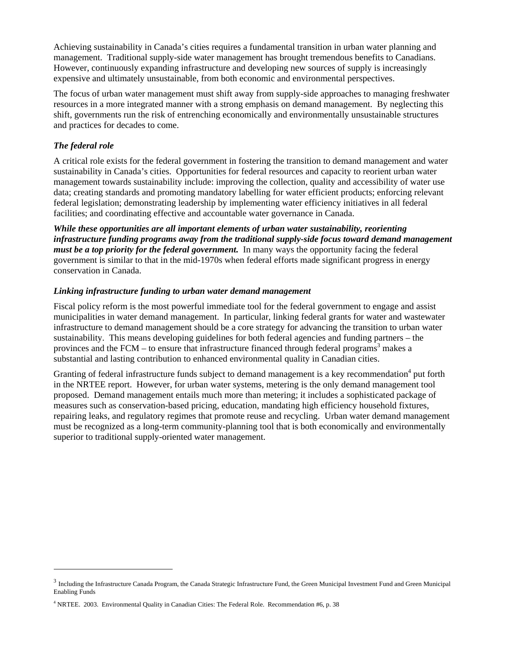Achieving sustainability in Canada's cities requires a fundamental transition in urban water planning and management. Traditional supply-side water management has brought tremendous benefits to Canadians. However, continuously expanding infrastructure and developing new sources of supply is increasingly expensive and ultimately unsustainable, from both economic and environmental perspectives.

The focus of urban water management must shift away from supply-side approaches to managing freshwater resources in a more integrated manner with a strong emphasis on demand management. By neglecting this shift, governments run the risk of entrenching economically and environmentally unsustainable structures and practices for decades to come.

### *The federal role*

 $\overline{a}$ 

A critical role exists for the federal government in fostering the transition to demand management and water sustainability in Canada's cities. Opportunities for federal resources and capacity to reorient urban water management towards sustainability include: improving the collection, quality and accessibility of water use data; creating standards and promoting mandatory labelling for water efficient products; enforcing relevant federal legislation; demonstrating leadership by implementing water efficiency initiatives in all federal facilities; and coordinating effective and accountable water governance in Canada.

*While these opportunities are all important elements of urban water sustainability, reorienting infrastructure funding programs away from the traditional supply-side focus toward demand management must be a top priority for the federal government.* In many ways the opportunity facing the federal government is similar to that in the mid-1970s when federal efforts made significant progress in energy conservation in Canada.

### *Linking infrastructure funding to urban water demand management*

Fiscal policy reform is the most powerful immediate tool for the federal government to engage and assist municipalities in water demand management. In particular, linking federal grants for water and wastewater infrastructure to demand management should be a core strategy for advancing the transition to urban water sustainability. This means developing guidelines for both federal agencies and funding partners – the provinces and the FCM – to ensure that infrastructure financed through federal programs<sup>3</sup> makes a substantial and lasting contribution to enhanced environmental quality in Canadian cities.

Granting of federal infrastructure funds subject to demand management is a key recommendation<sup>4</sup> put forth in the NRTEE report. However, for urban water systems, metering is the only demand management tool proposed. Demand management entails much more than metering; it includes a sophisticated package of measures such as conservation-based pricing, education, mandating high efficiency household fixtures, repairing leaks, and regulatory regimes that promote reuse and recycling. Urban water demand management must be recognized as a long-term community-planning tool that is both economically and environmentally superior to traditional supply-oriented water management.

 $3$  Including the Infrastructure Canada Program, the Canada Strategic Infrastructure Fund, the Green Municipal Investment Fund and Green Municipal Enabling Funds

<sup>&</sup>lt;sup>4</sup> NRTEE. 2003. Environmental Quality in Canadian Cities: The Federal Role. Recommendation #6, p. 38